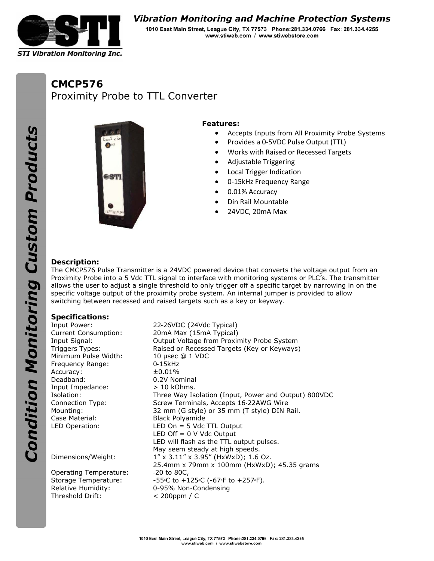

# **Vibration Monitoring and Machine Protection Systems**

1010 East Main Street, League City, TX 77573 Phone: 281.334.0766 Fax: 281.334.4255 www.stiweb.com / www.stiwebstore.com

# **CMCP576**  Proximity Probe to TTL Converter





### **Features:**

- Accepts Inputs from All Proximity Probe Systems
- Provides a 0‐5VDC Pulse Output (TTL)
- Works with Raised or Recessed Targets
- Adjustable Triggering
- Local Trigger Indication
- 0-15kHz Frequency Range
- 0.01% Accuracy
- Din Rail Mountable
- 24VDC, 20mA Max

#### **Description:**

The CMCP576 Pulse Transmitter is a 24VDC powered device that converts the voltage output from an Proximity Probe into a 5 Vdc TTL signal to interface with monitoring systems or PLC's. The transmitter allows the user to adjust a single threshold to only trigger off a specific target by narrowing in on the specific voltage output of the proximity probe system. An internal jumper is provided to allow switching between recessed and raised targets such as a key or keyway.

#### **Specifications:**

Minimum Pulse Width: 10 μsec @ 1 VDC Frequency Range: 0-15kHz Accuracy:  $\pm 0.01\%$ Deadband: 0.2V Nominal Input Impedance: > 10 kOhms. Case Material: Black Polyamide

Operating Temperature: ‐20 to 80C, Storage Temperature: Threshold Drift: < 200ppm / C

Input Power: 22‐26VDC (24Vdc Typical) Current Consumption: 20mA Max (15mA Typical) Input Signal: Output Voltage from Proximity Probe System Triggers Types: Raised or Recessed Targets (Key or Keyways) Isolation: Three Way Isolation (Input, Power and Output) 800VDC Connection Type: Screw Terminals, Accepts 16‐22AWG Wire Mounting: 32 mm (G style) or 35 mm (T style) DIN Rail. LED Operation: LED On = 5 Vdc TTL Output LED Off  $= 0$  V Vdc Output LED will flash as the TTL output pulses. May seem steady at high speeds. Dimensions/Weight: 1" x 3.11" x 3.95" (HxWxD); 1.6 Oz. 25.4mm x 79mm x 100mm (HxWxD); 45.35 grams C to +125∘C (-67∘F to +257∘F). Relative Humidity: 0-95% Non-Condensing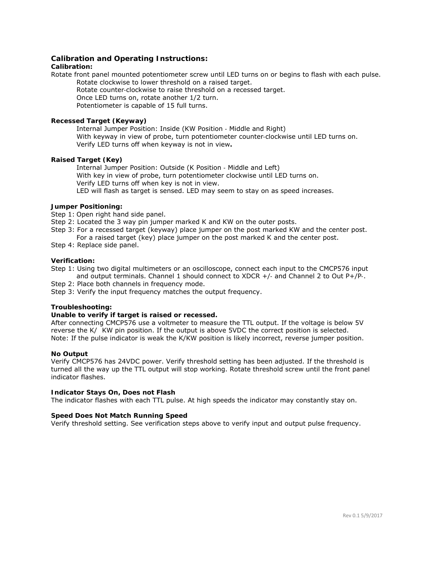#### **Calibration and Operating Instructions:**

#### **Calibration:**

Rotate front panel mounted potentiometer screw until LED turns on or begins to flash with each pulse. Rotate clockwise to lower threshold on a raised target.

 Rotate counter‐clockwise to raise threshold on a recessed target. Once LED turns on, rotate another 1/2 turn.

Potentiometer is capable of 15 full turns.

#### **Recessed Target (Keyway)**

 Internal Jumper Position: Inside (KW Position ‐ Middle and Right) With keyway in view of probe, turn potentiometer counter‐clockwise until LED turns on. Verify LED turns off when keyway is not in view**.**

#### **Raised Target (Key)**

 Internal Jumper Position: Outside (K Position ‐ Middle and Left) With key in view of probe, turn potentiometer clockwise until LED turns on. Verify LED turns off when key is not in view. LED will flash as target is sensed. LED may seem to stay on as speed increases.

#### **Jumper Positioning:**

Step 1: Open right hand side panel.

- Step 2: Located the 3 way pin jumper marked K and KW on the outer posts.
- Step 3: For a recessed target (keyway) place jumper on the post marked KW and the center post.
	- For a raised target (key) place jumper on the post marked K and the center post.
- Step 4: Replace side panel.

#### **Verification:**

Step 1: Using two digital multimeters or an oscilloscope, connect each input to the CMCP576 input and output terminals. Channel 1 should connect to XDCR +/‐ and Channel 2 to Out P+/P‐.

- Step 2: Place both channels in frequency mode.
- Step 3: Verify the input frequency matches the output frequency.

#### **Troubleshooting:**

#### **Unable to verify if target is raised or recessed.**

After connecting CMCP576 use a voltmeter to measure the TTL output. If the voltage is below 5V reverse the K/ KW pin position. If the output is above 5VDC the correct position is selected. Note: If the pulse indicator is weak the K/KW position is likely incorrect, reverse jumper position.

#### **No Output**

Verify CMCP576 has 24VDC power. Verify threshold setting has been adjusted. If the threshold is turned all the way up the TTL output will stop working. Rotate threshold screw until the front panel indicator flashes.

#### **Indicator Stays On, Does not Flash**

The indicator flashes with each TTL pulse. At high speeds the indicator may constantly stay on.

#### **Speed Does Not Match Running Speed**

Verify threshold setting. See verification steps above to verify input and output pulse frequency.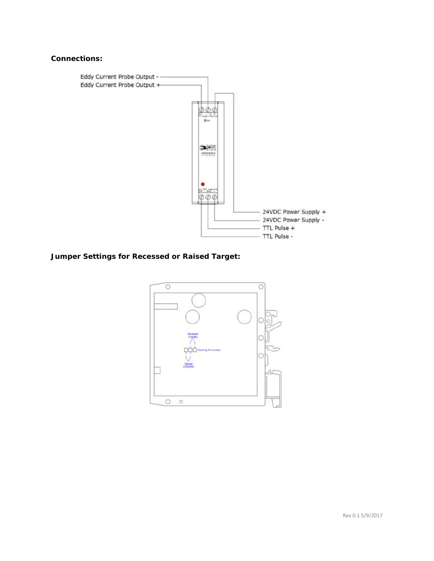## **Connections:**



**Jumper Settings for Recessed or Raised Target:**